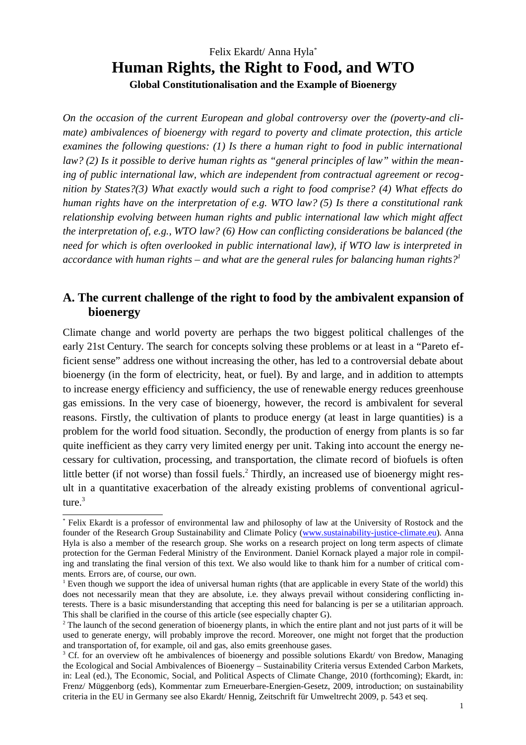# Felix Ekardt/ Anna Hyla\* **Human Rights, the Right to Food, and WTO Global Constitutionalisation and the Example of Bioenergy**

*On the occasion of the current European and global controversy over the (poverty-and climate) ambivalences of bioenergy with regard to poverty and climate protection, this article examines the following questions: (1) Is there a human right to food in public international law? (2) Is it possible to derive human rights as "general principles of law" within the meaning of public international law, which are independent from contractual agreement or recognition by States?(3) What exactly would such a right to food comprise? (4) What effects do human rights have on the interpretation of e.g. WTO law? (5) Is there a constitutional rank relationship evolving between human rights and public international law which might affect the interpretation of, e.g., WTO law? (6) How can conflicting considerations be balanced (the need for which is often overlooked in public international law), if WTO law is interpreted in accordance with human rights – and what are the general rules for balancing human rights?<sup>1</sup>*

## **A. The current challenge of the right to food by the ambivalent expansion of bioenergy**

Climate change and world poverty are perhaps the two biggest political challenges of the early 21st Century. The search for concepts solving these problems or at least in a "Pareto efficient sense" address one without increasing the other, has led to a controversial debate about bioenergy (in the form of electricity, heat, or fuel). By and large, and in addition to attempts to increase energy efficiency and sufficiency, the use of renewable energy reduces greenhouse gas emissions. In the very case of bioenergy, however, the record is ambivalent for several reasons. Firstly, the cultivation of plants to produce energy (at least in large quantities) is a problem for the world food situation. Secondly, the production of energy from plants is so far quite inefficient as they carry very limited energy per unit. Taking into account the energy necessary for cultivation, processing, and transportation, the climate record of biofuels is often little better (if not worse) than fossil fuels.<sup>2</sup> Thirdly, an increased use of bioenergy might result in a quantitative exacerbation of the already existing problems of conventional agriculture.<sup>3</sup>

<sup>\*</sup> Felix Ekardt is a professor of environmental law and philosophy of law at the University of Rostock and the founder of the Research Group Sustainability and Climate Policy (www.sustainability-justice-climate.eu). Anna Hyla is also a member of the research group. She works on a research project on long term aspects of climate protection for the German Federal Ministry of the Environment. Daniel Kornack played a major role in compiling and translating the final version of this text. We also would like to thank him for a number of critical comments. Errors are, of course, our own.

<sup>&</sup>lt;sup>1</sup> Even though we support the idea of universal human rights (that are applicable in every State of the world) this does not necessarily mean that they are absolute, i.e. they always prevail without considering conflicting interests. There is a basic misunderstanding that accepting this need for balancing is per se a utilitarian approach. This shall be clarified in the course of this article (see especially chapter G).

<sup>&</sup>lt;sup>2</sup> The launch of the second generation of bioenergy plants, in which the entire plant and not just parts of it will be used to generate energy, will probably improve the record. Moreover, one might not forget that the production and transportation of, for example, oil and gas, also emits greenhouse gases.

<sup>&</sup>lt;sup>3</sup> Cf. for an overview oft he ambivalences of bioenergy and possible solutions Ekardt/ von Bredow, Managing the Ecological and Social Ambivalences of Bioenergy – Sustainability Criteria versus Extended Carbon Markets, in: Leal (ed.), The Economic, Social, and Political Aspects of Climate Change, 2010 (forthcoming); Ekardt, in: Frenz/ Müggenborg (eds), Kommentar zum Erneuerbare-Energien-Gesetz, 2009, introduction; on sustainability criteria in the EU in Germany see also Ekardt/ Hennig, Zeitschrift für Umweltrecht 2009, p. 543 et seq.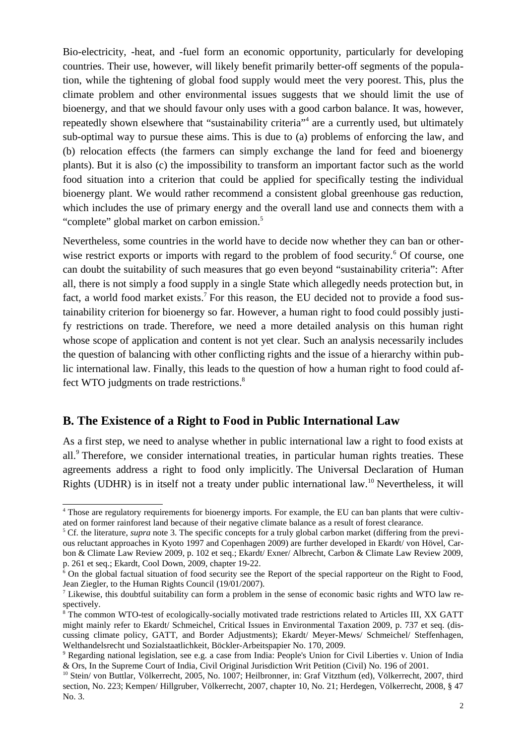Bio-electricity, -heat, and -fuel form an economic opportunity, particularly for developing countries. Their use, however, will likely benefit primarily better-off segments of the population, while the tightening of global food supply would meet the very poorest. This, plus the climate problem and other environmental issues suggests that we should limit the use of bioenergy, and that we should favour only uses with a good carbon balance. It was, however, repeatedly shown elsewhere that "sustainability criteria"<sup>4</sup> are a currently used, but ultimately sub-optimal way to pursue these aims. This is due to (a) problems of enforcing the law, and (b) relocation effects (the farmers can simply exchange the land for feed and bioenergy plants). But it is also (c) the impossibility to transform an important factor such as the world food situation into a criterion that could be applied for specifically testing the individual bioenergy plant. We would rather recommend a consistent global greenhouse gas reduction, which includes the use of primary energy and the overall land use and connects them with a "complete" global market on carbon emission.<sup>5</sup>

Nevertheless, some countries in the world have to decide now whether they can ban or otherwise restrict exports or imports with regard to the problem of food security.<sup>6</sup> Of course, one can doubt the suitability of such measures that go even beyond "sustainability criteria": After all, there is not simply a food supply in a single State which allegedly needs protection but, in fact, a world food market exists.<sup>7</sup> For this reason, the EU decided not to provide a food sustainability criterion for bioenergy so far. However, a human right to food could possibly justify restrictions on trade. Therefore, we need a more detailed analysis on this human right whose scope of application and content is not yet clear. Such an analysis necessarily includes the question of balancing with other conflicting rights and the issue of a hierarchy within public international law. Finally, this leads to the question of how a human right to food could affect WTO judgments on trade restrictions.<sup>8</sup>

## **B. The Existence of a Right to Food in Public International Law**

As a first step, we need to analyse whether in public international law a right to food exists at all.<sup>9</sup> Therefore, we consider international treaties, in particular human rights treaties. These agreements address a right to food only implicitly. The Universal Declaration of Human Rights (UDHR) is in itself not a treaty under public international law.<sup>10</sup> Nevertheless, it will

<sup>4</sup> Those are regulatory requirements for bioenergy imports. For example, the EU can ban plants that were cultivated on former rainforest land because of their negative climate balance as a result of forest clearance.

<sup>&</sup>lt;sup>5</sup> Cf. the literature, *supra* note 3. The specific concepts for a truly global carbon market (differing from the previous reluctant approaches in Kyoto 1997 and Copenhagen 2009) are further developed in Ekardt/ von Hövel, Carbon & Climate Law Review 2009, p. 102 et seq.; Ekardt/ Exner/ Albrecht, Carbon & Climate Law Review 2009, p. 261 et seq.; Ekardt, Cool Down, 2009, chapter 19-22.

<sup>&</sup>lt;sup>6</sup> On the global factual situation of food security see the Report of the special rapporteur on the Right to Food, Jean Ziegler, to the Human Rights Council (19/01/2007).

<sup>&</sup>lt;sup>7</sup> Likewise, this doubtful suitability can form a problem in the sense of economic basic rights and WTO law respectively.

<sup>&</sup>lt;sup>8</sup> The common WTO-test of ecologically-socially motivated trade restrictions related to Articles III, XX GATT might mainly refer to Ekardt/ Schmeichel, Critical Issues in Environmental Taxation 2009, p. 737 et seq. (discussing climate policy, GATT, and Border Adjustments); Ekardt/ Meyer-Mews/ Schmeichel/ Steffenhagen, Welthandelsrecht und Sozialstaatlichkeit, Böckler-Arbeitspapier No. 170, 2009.

<sup>9</sup> Regarding national legislation, see e.g. a case from India: People's Union for Civil Liberties v. Union of India & Ors, In the Supreme Court of India, Civil Original Jurisdiction Writ Petition (Civil) No. 196 of 2001.

<sup>10</sup> Stein/ von Buttlar, Völkerrecht, 2005, No. 1007; Heilbronner, in: Graf Vitzthum (ed), Völkerrecht, 2007, third section, No. 223; Kempen/ Hillgruber, Völkerrecht, 2007, chapter 10, No. 21; Herdegen, Völkerrecht, 2008, § 47 No. 3.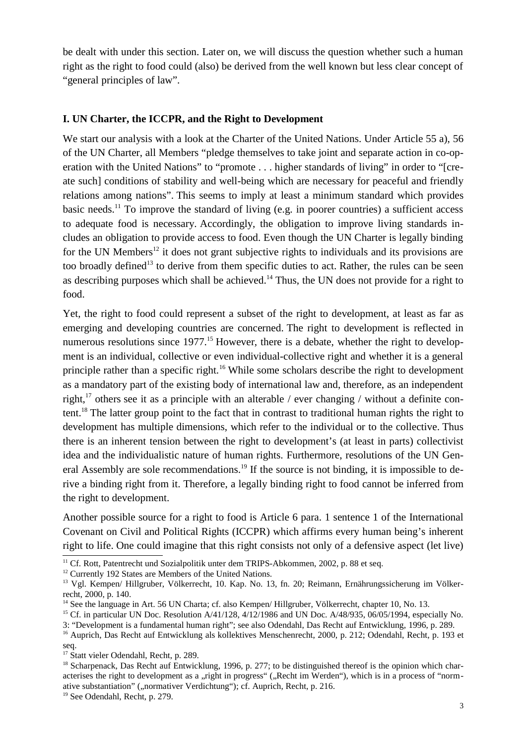be dealt with under this section. Later on, we will discuss the question whether such a human right as the right to food could (also) be derived from the well known but less clear concept of "general principles of law".

#### **I. UN Charter, the ICCPR, and the Right to Development**

We start our analysis with a look at the Charter of the United Nations. Under Article 55 a), 56 of the UN Charter, all Members "pledge themselves to take joint and separate action in co-operation with the United Nations" to "promote . . . higher standards of living" in order to "[create such] conditions of stability and well-being which are necessary for peaceful and friendly relations among nations". This seems to imply at least a minimum standard which provides basic needs.<sup>11</sup> To improve the standard of living (e.g. in poorer countries) a sufficient access to adequate food is necessary. Accordingly, the obligation to improve living standards includes an obligation to provide access to food. Even though the UN Charter is legally binding for the UN Members<sup>12</sup> it does not grant subjective rights to individuals and its provisions are too broadly defined<sup>13</sup> to derive from them specific duties to act. Rather, the rules can be seen as describing purposes which shall be achieved.<sup>14</sup> Thus, the UN does not provide for a right to food.

Yet, the right to food could represent a subset of the right to development, at least as far as emerging and developing countries are concerned. The right to development is reflected in numerous resolutions since  $1977<sup>15</sup>$  However, there is a debate, whether the right to development is an individual, collective or even individual-collective right and whether it is a general principle rather than a specific right.<sup>16</sup> While some scholars describe the right to development as a mandatory part of the existing body of international law and, therefore, as an independent right,<sup>17</sup> others see it as a principle with an alterable / ever changing / without a definite content.<sup>18</sup> The latter group point to the fact that in contrast to traditional human rights the right to development has multiple dimensions, which refer to the individual or to the collective. Thus there is an inherent tension between the right to development's (at least in parts) collectivist idea and the individualistic nature of human rights. Furthermore, resolutions of the UN General Assembly are sole recommendations.<sup>19</sup> If the source is not binding, it is impossible to derive a binding right from it. Therefore, a legally binding right to food cannot be inferred from the right to development.

Another possible source for a right to food is Article 6 para. 1 sentence 1 of the International Covenant on Civil and Political Rights (ICCPR) which affirms every human being's inherent right to life. One could imagine that this right consists not only of a defensive aspect (let live)

<sup>12</sup> Currently 192 States are Members of the United Nations.

<sup>&</sup>lt;sup>11</sup> Cf. Rott, Patentrecht und Sozialpolitik unter dem TRIPS-Abkommen, 2002, p. 88 et seq.

<sup>&</sup>lt;sup>13</sup> Vgl. Kempen/ Hillgruber, Völkerrecht, 10. Kap. No. 13, fn. 20; Reimann, Ernährungssicherung im Völkerrecht, 2000, p. 140.

<sup>&</sup>lt;sup>14</sup> See the language in Art. 56 UN Charta; cf. also Kempen/ Hillgruber, Völkerrecht, chapter 10, No. 13.

<sup>&</sup>lt;sup>15</sup> Cf. in particular UN Doc. Resolution  $A/41/128$ ,  $4/12/1986$  and UN Doc.  $A/48/935$ ,  $06/05/1994$ , especially No. 3: "Development is a fundamental human right"; see also Odendahl, Das Recht auf Entwicklung, 1996, p. 289.

<sup>&</sup>lt;sup>16</sup> Auprich, Das Recht auf Entwicklung als kollektives Menschenrecht, 2000, p. 212; Odendahl, Recht, p. 193 et seq.

<sup>&</sup>lt;sup>17</sup> Statt vieler Odendahl, Recht, p. 289.

<sup>&</sup>lt;sup>18</sup> Scharpenack, Das Recht auf Entwicklung, 1996, p. 277; to be distinguished thereof is the opinion which characterises the right to development as a "right in progress" ("Recht im Werden"), which is in a process of "normative substantiation" ("normativer Verdichtung"); cf. Auprich, Recht, p. 216.

<sup>19</sup> See Odendahl, Recht, p. 279.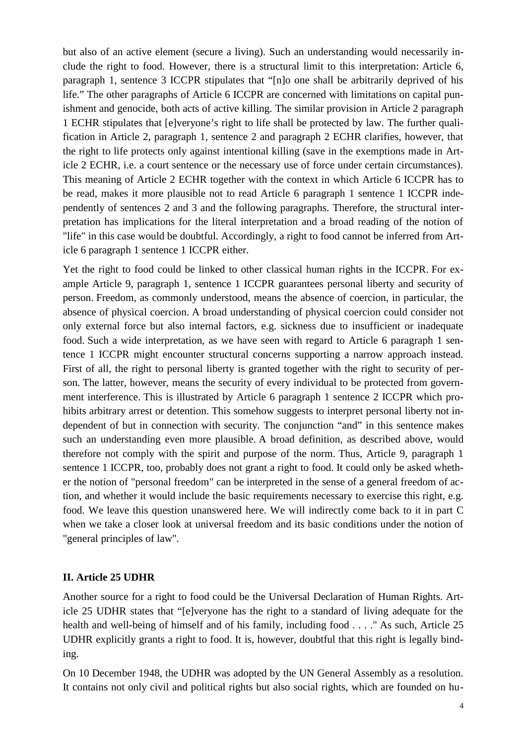but also of an active element (secure a living). Such an understanding would necessarily include the right to food. However, there is a structural limit to this interpretation: Article 6, paragraph 1, sentence 3 ICCPR stipulates that "[n]o one shall be arbitrarily deprived of his life." The other paragraphs of Article 6 ICCPR are concerned with limitations on capital punishment and genocide, both acts of active killing. The similar provision in Article 2 paragraph 1 ECHR stipulates that [e]veryone's right to life shall be protected by law. The further qualification in Article 2, paragraph 1, sentence 2 and paragraph 2 ECHR clarifies, however, that the right to life protects only against intentional killing (save in the exemptions made in Article 2 ECHR, i.e. a court sentence or the necessary use of force under certain circumstances). This meaning of Article 2 ECHR together with the context in which Article 6 ICCPR has to be read, makes it more plausible not to read Article 6 paragraph 1 sentence 1 ICCPR independently of sentences 2 and 3 and the following paragraphs. Therefore, the structural interpretation has implications for the literal interpretation and a broad reading of the notion of "life" in this case would be doubtful. Accordingly, a right to food cannot be inferred from Article 6 paragraph 1 sentence 1 ICCPR either.

Yet the right to food could be linked to other classical human rights in the ICCPR. For example Article 9, paragraph 1, sentence 1 ICCPR guarantees personal liberty and security of person. Freedom, as commonly understood, means the absence of coercion, in particular, the absence of physical coercion. A broad understanding of physical coercion could consider not only external force but also internal factors, e.g. sickness due to insufficient or inadequate food. Such a wide interpretation, as we have seen with regard to Article 6 paragraph 1 sentence 1 ICCPR might encounter structural concerns supporting a narrow approach instead. First of all, the right to personal liberty is granted together with the right to security of person. The latter, however, means the security of every individual to be protected from government interference. This is illustrated by Article 6 paragraph 1 sentence 2 ICCPR which prohibits arbitrary arrest or detention. This somehow suggests to interpret personal liberty not independent of but in connection with security. The conjunction "and" in this sentence makes such an understanding even more plausible. A broad definition, as described above, would therefore not comply with the spirit and purpose of the norm. Thus, Article 9, paragraph 1 sentence 1 ICCPR, too, probably does not grant a right to food. It could only be asked whether the notion of "personal freedom" can be interpreted in the sense of a general freedom of action, and whether it would include the basic requirements necessary to exercise this right, e.g. food. We leave this question unanswered here. We will indirectly come back to it in part C when we take a closer look at universal freedom and its basic conditions under the notion of "general principles of law".

#### **II. Article 25 UDHR**

Another source for a right to food could be the Universal Declaration of Human Rights. Article 25 UDHR states that "[e]veryone has the right to a standard of living adequate for the health and well-being of himself and of his family, including food . . . ." As such, Article 25 UDHR explicitly grants a right to food. It is, however, doubtful that this right is legally binding.

On 10 December 1948, the UDHR was adopted by the UN General Assembly as a resolution. It contains not only civil and political rights but also social rights, which are founded on hu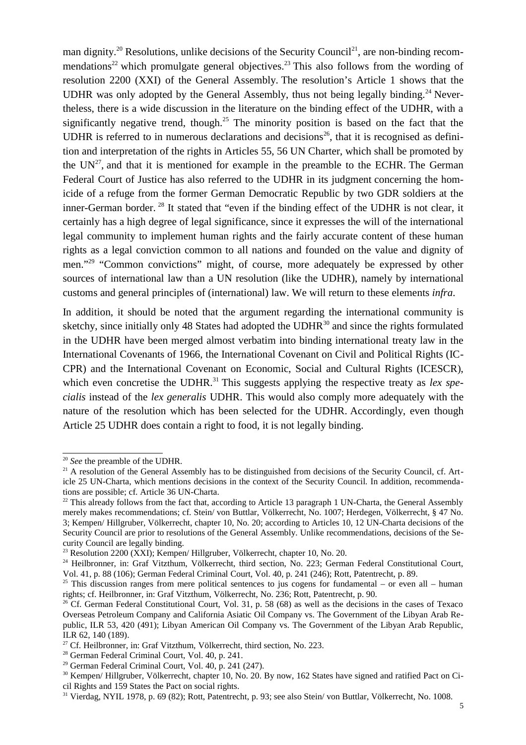man dignity.<sup>20</sup> Resolutions, unlike decisions of the Security Council<sup>21</sup>, are non-binding recommendations<sup>22</sup> which promulgate general objectives.<sup>23</sup> This also follows from the wording of resolution 2200 (XXI) of the General Assembly. The resolution's Article 1 shows that the UDHR was only adopted by the General Assembly, thus not being legally binding.<sup>24</sup> Nevertheless, there is a wide discussion in the literature on the binding effect of the UDHR, with a significantly negative trend, though.<sup>25</sup> The minority position is based on the fact that the UDHR is referred to in numerous declarations and decisions<sup>26</sup>, that it is recognised as definition and interpretation of the rights in Articles 55, 56 UN Charter, which shall be promoted by the  $UN^{27}$ , and that it is mentioned for example in the preamble to the ECHR. The German Federal Court of Justice has also referred to the UDHR in its judgment concerning the homicide of a refuge from the former German Democratic Republic by two GDR soldiers at the inner-German border.<sup>28</sup> It stated that "even if the binding effect of the UDHR is not clear, it certainly has a high degree of legal significance, since it expresses the will of the international legal community to implement human rights and the fairly accurate content of these human rights as a legal conviction common to all nations and founded on the value and dignity of men."<sup>29</sup> "Common convictions" might, of course, more adequately be expressed by other sources of international law than a UN resolution (like the UDHR), namely by international customs and general principles of (international) law. We will return to these elements *infra*.

In addition, it should be noted that the argument regarding the international community is sketchy, since initially only 48 States had adopted the UDHR $^{30}$  and since the rights formulated in the UDHR have been merged almost verbatim into binding international treaty law in the International Covenants of 1966, the International Covenant on Civil and Political Rights (IC-CPR) and the International Covenant on Economic, Social and Cultural Rights (ICESCR), which even concretise the UDHR.<sup>31</sup> This suggests applying the respective treaty as *lex specialis* instead of the *lex generalis* UDHR. This would also comply more adequately with the nature of the resolution which has been selected for the UDHR. Accordingly, even though Article 25 UDHR does contain a right to food, it is not legally binding.

<sup>20</sup> *See* the preamble of the UDHR.

 $^{21}$  A resolution of the General Assembly has to be distinguished from decisions of the Security Council, cf. Article 25 UN-Charta, which mentions decisions in the context of the Security Council. In addition, recommendations are possible; cf. Article 36 UN-Charta.

<sup>&</sup>lt;sup>22</sup> This already follows from the fact that, according to Article 13 paragraph 1 UN-Charta, the General Assembly merely makes recommendations; cf. Stein/ von Buttlar, Völkerrecht, No. 1007; Herdegen, Völkerrecht, § 47 No. 3; Kempen/ Hillgruber, Völkerrecht, chapter 10, No. 20; according to Articles 10, 12 UN-Charta decisions of the Security Council are prior to resolutions of the General Assembly. Unlike recommendations, decisions of the Security Council are legally binding.

<sup>&</sup>lt;sup>23</sup> Resolution 2200 (XXI); Kempen/ Hillgruber, Völkerrecht, chapter 10, No. 20.

<sup>&</sup>lt;sup>24</sup> Heilbronner, in: Graf Vitzthum, Völkerrecht, third section, No. 223; German Federal Constitutional Court, Vol. 41, p. 88 (106); German Federal Criminal Court, Vol. 40, p. 241 (246); Rott, Patentrecht, p. 89.

<sup>&</sup>lt;sup>25</sup> This discussion ranges from mere political sentences to jus cogens for fundamental – or even all – human rights; cf. Heilbronner, in: Graf Vitzthum, Völkerrecht, No. 236; Rott, Patentrecht, p. 90.

 $26$  Cf. German Federal Constitutional Court, Vol. 31, p. 58 (68) as well as the decisions in the cases of Texaco Overseas Petroleum Company and California Asiatic Oil Company vs. The Government of the Libyan Arab Republic, ILR 53, 420 (491); Libyan American Oil Company vs. The Government of the Libyan Arab Republic, ILR 62, 140 (189).

 $27$  Cf. Heilbronner, in: Graf Vitzthum, Völkerrecht, third section, No. 223.

<sup>28</sup> German Federal Criminal Court, Vol. 40, p. 241.

 $29$  German Federal Criminal Court, Vol. 40, p. 241 (247).

<sup>&</sup>lt;sup>30</sup> Kempen/ Hillgruber, Völkerrecht, chapter 10, No. 20. By now, 162 States have signed and ratified Pact on Cicil Rights and 159 States the Pact on social rights.

<sup>&</sup>lt;sup>31</sup> Vierdag, NYIL 1978, p. 69 (82); Rott, Patentrecht, p. 93; see also Stein/ von Buttlar, Völkerrecht, No. 1008.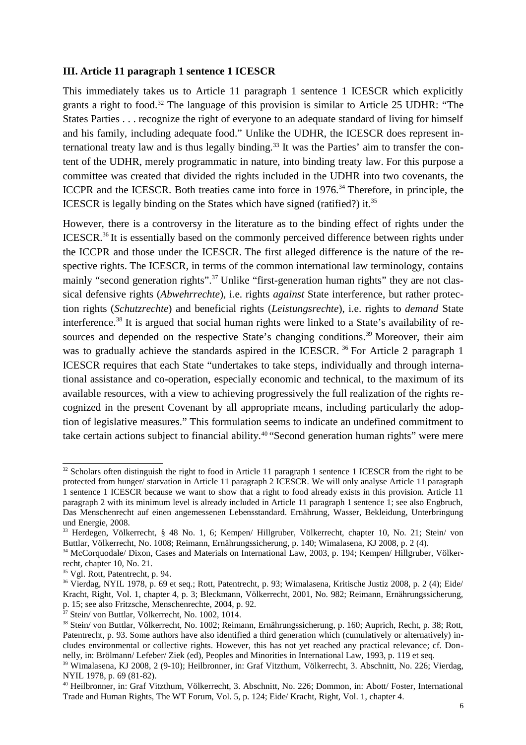#### **III. Article 11 paragraph 1 sentence 1 ICESCR**

This immediately takes us to Article 11 paragraph 1 sentence 1 ICESCR which explicitly grants a right to food.<sup>32</sup> The language of this provision is similar to Article 25 UDHR: "The States Parties . . . recognize the right of everyone to an adequate standard of living for himself and his family, including adequate food." Unlike the UDHR, the ICESCR does represent international treaty law and is thus legally binding.<sup>33</sup> It was the Parties' aim to transfer the content of the UDHR, merely programmatic in nature, into binding treaty law. For this purpose a committee was created that divided the rights included in the UDHR into two covenants, the ICCPR and the ICESCR. Both treaties came into force in 1976.<sup>34</sup> Therefore, in principle, the ICESCR is legally binding on the States which have signed (ratified?) it.<sup>35</sup>

However, there is a controversy in the literature as to the binding effect of rights under the ICESCR.<sup>36</sup>It is essentially based on the commonly perceived difference between rights under the ICCPR and those under the ICESCR. The first alleged difference is the nature of the respective rights. The ICESCR, in terms of the common international law terminology, contains mainly "second generation rights".<sup>37</sup> Unlike "first-generation human rights" they are not classical defensive rights (*Abwehrrechte*), i.e. rights *against* State interference, but rather protection rights (*Schutzrechte*) and beneficial rights (*Leistungsrechte*), i.e. rights to *demand* State interference.<sup>38</sup> It is argued that social human rights were linked to a State's availability of resources and depended on the respective State's changing conditions.<sup>39</sup> Moreover, their aim was to gradually achieve the standards aspired in the ICESCR. <sup>36</sup> For Article 2 paragraph 1 ICESCR requires that each State "undertakes to take steps, individually and through international assistance and co-operation, especially economic and technical, to the maximum of its available resources, with a view to achieving progressively the full realization of the rights recognized in the present Covenant by all appropriate means, including particularly the adoption of legislative measures." This formulation seems to indicate an undefined commitment to take certain actions subject to financial ability.<sup>40</sup> "Second generation human rights" were mere

 $32$  Scholars often distinguish the right to food in Article 11 paragraph 1 sentence 1 ICESCR from the right to be protected from hunger/ starvation in Article 11 paragraph 2 ICESCR. We will only analyse Article 11 paragraph 1 sentence 1 ICESCR because we want to show that a right to food already exists in this provision. Article 11 paragraph 2 with its minimum level is already included in Article 11 paragraph 1 sentence 1; see also Engbruch, Das Menschenrecht auf einen angemessenen Lebensstandard. Ernährung, Wasser, Bekleidung, Unterbringung und Energie, 2008.

<sup>33</sup> Herdegen, Völkerrecht, § 48 No. 1, 6; Kempen/ Hillgruber, Völkerrecht, chapter 10, No. 21; Stein/ von Buttlar, Völkerrecht, No. 1008; Reimann, Ernährungssicherung, p. 140; Wimalasena, KJ 2008, p. 2 (4).

<sup>&</sup>lt;sup>34</sup> McCorquodale/ Dixon, Cases and Materials on International Law, 2003, p. 194; Kempen/ Hillgruber, Völkerrecht, chapter 10, No. 21.

<sup>&</sup>lt;sup>35</sup> Vgl. Rott, Patentrecht, p. 94.

<sup>36</sup> Vierdag, NYIL 1978, p. 69 et seq.; Rott, Patentrecht, p. 93; Wimalasena, Kritische Justiz 2008, p. 2 (4); Eide/ Kracht, Right, Vol. 1, chapter 4, p. 3; Bleckmann, Völkerrecht, 2001, No. 982; Reimann, Ernährungssicherung, p. 15; see also Fritzsche, Menschenrechte, 2004, p. 92.

 $37$  Stein/von Buttlar, Völkerrecht, No. 1002, 1014.

<sup>38</sup> Stein/ von Buttlar, Völkerrecht, No. 1002; Reimann, Ernährungssicherung, p. 160; Auprich, Recht, p. 38; Rott, Patentrecht, p. 93. Some authors have also identified a third generation which (cumulatively or alternatively) includes environmental or collective rights. However, this has not yet reached any practical relevance; cf. Donnelly, in: Brölmann/ Lefeber/ Ziek (ed), Peoples and Minorities in International Law, 1993, p. 119 et seq.

<sup>39</sup> Wimalasena, KJ 2008, 2 (9-10); Heilbronner, in: Graf Vitzthum, Völkerrecht, 3. Abschnitt, No. 226; Vierdag, NYIL 1978, p. 69 (81-82).

<sup>40</sup> Heilbronner, in: Graf Vitzthum, Völkerrecht, 3. Abschnitt, No. 226; Dommon, in: Abott/ Foster, International Trade and Human Rights, The WT Forum, Vol. 5, p. 124; Eide/ Kracht, Right, Vol. 1, chapter 4.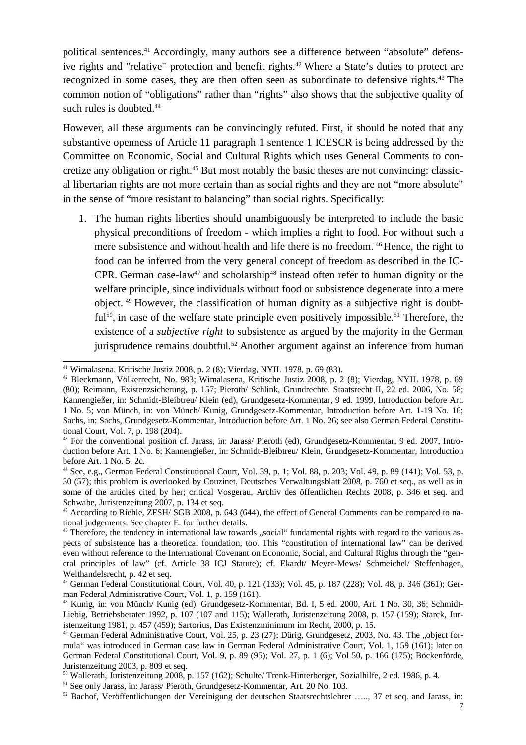political sentences.<sup>41</sup> Accordingly, many authors see a difference between "absolute" defensive rights and "relative" protection and benefit rights.<sup>42</sup> Where a State's duties to protect are recognized in some cases, they are then often seen as subordinate to defensive rights.<sup>43</sup> The common notion of "obligations" rather than "rights" also shows that the subjective quality of such rules is doubted.<sup>44</sup>

However, all these arguments can be convincingly refuted. First, it should be noted that any substantive openness of Article 11 paragraph 1 sentence 1 ICESCR is being addressed by the Committee on Economic, Social and Cultural Rights which uses General Comments to concretize any obligation or right.45 But most notably the basic theses are not convincing: classical libertarian rights are not more certain than as social rights and they are not "more absolute" in the sense of "more resistant to balancing" than social rights. Specifically:

1. The human rights liberties should unambiguously be interpreted to include the basic physical preconditions of freedom - which implies a right to food. For without such a mere subsistence and without health and life there is no freedom.<sup>46</sup> Hence, the right to food can be inferred from the very general concept of freedom as described in the IC-CPR. German case-law<sup>47</sup> and scholarship<sup>48</sup> instead often refer to human dignity or the welfare principle, since individuals without food or subsistence degenerate into a mere object. 49 However, the classification of human dignity as a subjective right is doubtful<sup>50</sup>, in case of the welfare state principle even positively impossible.<sup>51</sup> Therefore, the existence of a *subjective right* to subsistence as argued by the majority in the German jurisprudence remains doubtful.<sup>52</sup> Another argument against an inference from human

<sup>41</sup> Wimalasena, Kritische Justiz 2008, p. 2 (8); Vierdag, NYIL 1978, p. 69 (83).

<sup>42</sup> Bleckmann, Völkerrecht, No. 983; Wimalasena, Kritische Justiz 2008, p. 2 (8); Vierdag, NYIL 1978, p. 69 (80); Reimann, Existenzsicherung, p. 157; Pieroth/ Schlink, Grundrechte. Staatsrecht II, 22 ed. 2006, No. 58; Kannengießer, in: Schmidt-Bleibtreu/ Klein (ed), Grundgesetz-Kommentar, 9 ed. 1999, Introduction before Art. 1 No. 5; von Münch, in: von Münch/ Kunig, Grundgesetz-Kommentar, Introduction before Art. 1-19 No. 16; Sachs, in: Sachs, Grundgesetz-Kommentar, Introduction before Art. 1 No. 26; see also German Federal Constitutional Court, Vol. 7, p. 198 (204).

<sup>43</sup> For the conventional position cf. Jarass, in: Jarass/ Pieroth (ed), Grundgesetz-Kommentar, 9 ed. 2007, Introduction before Art. 1 No. 6; Kannengießer, in: Schmidt-Bleibtreu/ Klein, Grundgesetz-Kommentar, Introduction before Art. 1 No. 5, 2c.

<sup>44</sup> See, e.g., German Federal Constitutional Court, Vol. 39, p. 1; Vol. 88, p. 203; Vol. 49, p. 89 (141); Vol. 53, p. 30 (57); this problem is overlooked by Couzinet, Deutsches Verwaltungsblatt 2008, p. 760 et seq., as well as in some of the articles cited by her; critical Vosgerau, Archiv des öffentlichen Rechts 2008, p. 346 et seq. and Schwabe, Juristenzeitung 2007, p. 134 et seq.

<sup>&</sup>lt;sup>45</sup> According to Riehle, ZFSH/ SGB 2008, p. 643 (644), the effect of General Comments can be compared to national judgements. See chapter E. for further details.

 $46$  Therefore, the tendency in international law towards  $\mu$ social" fundamental rights with regard to the various aspects of subsistence has a theoretical foundation, too. This "constitution of international law" can be derived even without reference to the International Covenant on Economic, Social, and Cultural Rights through the "general principles of law" (cf. Article 38 ICJ Statute); cf. Ekardt/ Meyer-Mews/ Schmeichel/ Steffenhagen, Welthandelsrecht, p. 42 et seq.

<sup>47</sup> German Federal Constitutional Court, Vol. 40, p. 121 (133); Vol. 45, p. 187 (228); Vol. 48, p. 346 (361); German Federal Administrative Court, Vol. 1, p. 159 (161).

<sup>48</sup> Kunig, in: von Münch/ Kunig (ed), Grundgesetz-Kommentar, Bd. I, 5 ed. 2000, Art. 1 No. 30, 36; Schmidt-Liebig, Betriebsberater 1992, p. 107 (107 and 115); Wallerath, Juristenzeitung 2008, p. 157 (159); Starck, Juristenzeitung 1981, p. 457 (459); Sartorius, Das Existenzminimum im Recht, 2000, p. 15.

 $49$  German Federal Administrative Court, Vol. 25, p. 23 (27); Dürig, Grundgesetz, 2003, No. 43. The "object formula" was introduced in German case law in German Federal Administrative Court, Vol. 1, 159 (161); later on German Federal Constitutional Court, Vol. 9, p. 89 (95); Vol. 27, p. 1 (6); Vol 50, p. 166 (175); Böckenförde, Juristenzeitung 2003, p. 809 et seq.

<sup>50</sup> Wallerath, Juristenzeitung 2008, p. 157 (162); Schulte/ Trenk-Hinterberger, Sozialhilfe, 2 ed. 1986, p. 4.

<sup>51</sup> See only Jarass, in: Jarass/ Pieroth, Grundgesetz-Kommentar, Art. 20 No. 103.

<sup>52</sup> Bachof, Veröffentlichungen der Vereinigung der deutschen Staatsrechtslehrer ….., 37 et seq. and Jarass, in: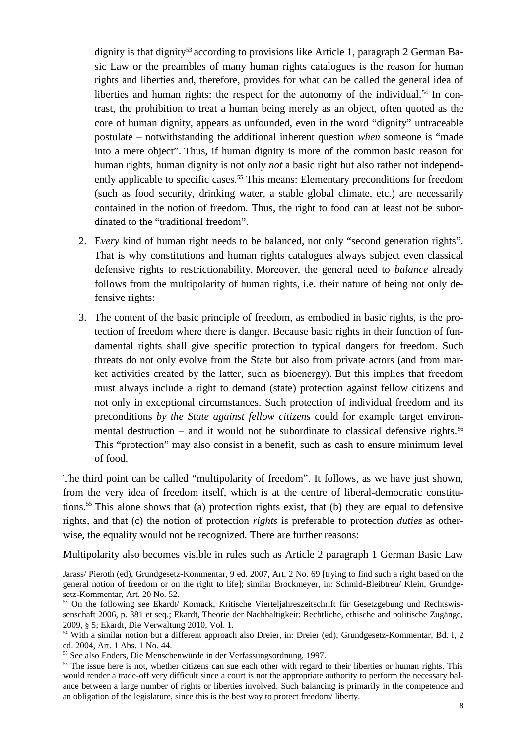dignity is that dignity<sup>53</sup> according to provisions like Article 1, paragraph 2 German Basic Law or the preambles of many human rights catalogues is the reason for human rights and liberties and, therefore, provides for what can be called the general idea of liberties and human rights: the respect for the autonomy of the individual.<sup>54</sup> In contrast, the prohibition to treat a human being merely as an object, often quoted as the core of human dignity, appears as unfounded, even in the word "dignity" untraceable postulate – notwithstanding the additional inherent question *when* someone is "made into a mere object". Thus, if human dignity is more of the common basic reason for human rights, human dignity is not only *not* a basic right but also rather not independently applicable to specific cases.<sup>55</sup> This means: Elementary preconditions for freedom (such as food security, drinking water, a stable global climate, etc.) are necessarily contained in the notion of freedom. Thus, the right to food can at least not be subordinated to the "traditional freedom".

- 2. E*very* kind of human right needs to be balanced, not only "second generation rights". That is why constitutions and human rights catalogues always subject even classical defensive rights to restrictionability. Moreover, the general need to *balance* already follows from the multipolarity of human rights, i.e. their nature of being not only defensive rights:
- 3. The content of the basic principle of freedom, as embodied in basic rights, is the protection of freedom where there is danger. Because basic rights in their function of fundamental rights shall give specific protection to typical dangers for freedom. Such threats do not only evolve from the State but also from private actors (and from market activities created by the latter, such as bioenergy). But this implies that freedom must always include a right to demand (state) protection against fellow citizens and not only in exceptional circumstances. Such protection of individual freedom and its preconditions *by the State against fellow citizens* could for example target environmental destruction – and it would not be subordinate to classical defensive rights.<sup>56</sup> This "protection" may also consist in a benefit, such as cash to ensure minimum level of food.

The third point can be called "multipolarity of freedom". It follows, as we have just shown, from the very idea of freedom itself, which is at the centre of liberal-democratic constitutions.<sup>55</sup> This alone shows that (a) protection rights exist, that (b) they are equal to defensive rights, and that (c) the notion of protection *rights* is preferable to protection *duties* as otherwise, the equality would not be recognized. There are further reasons:

Multipolarity also becomes visible in rules such as Article 2 paragraph 1 German Basic Law

Jarass/ Pieroth (ed), Grundgesetz-Kommentar, 9 ed. 2007, Art. 2 No. 69 [trying to find such a right based on the general notion of freedom or on the right to life]; similar Brockmeyer, in: Schmid-Bleibtreu/ Klein, Grundgesetz-Kommentar, Art. 20 No. 52.

<sup>53</sup> On the following see Ekardt/ Kornack, Kritische Vierteljahreszeitschrift für Gesetzgebung und Rechtswissenschaft 2006, p. 381 et seq.; Ekardt, Theorie der Nachhaltigkeit: Rechtliche, ethische and politische Zugänge, 2009, § 5; Ekardt, Die Verwaltung 2010, Vol. 1.

<sup>&</sup>lt;sup>54</sup> With a similar notion but a different approach also Dreier, in: Dreier (ed), Grundgesetz-Kommentar, Bd. I, 2 ed. 2004, Art. 1 Abs. 1 No. 44.

<sup>55</sup> See also Enders, Die Menschenwürde in der Verfassungsordnung, 1997.

<sup>&</sup>lt;sup>56</sup> The issue here is not, whether citizens can sue each other with regard to their liberties or human rights. This would render a trade-off very difficult since a court is not the appropriate authority to perform the necessary balance between a large number of rights or liberties involved. Such balancing is primarily in the competence and an obligation of the legislature, since this is the best way to protect freedom/ liberty.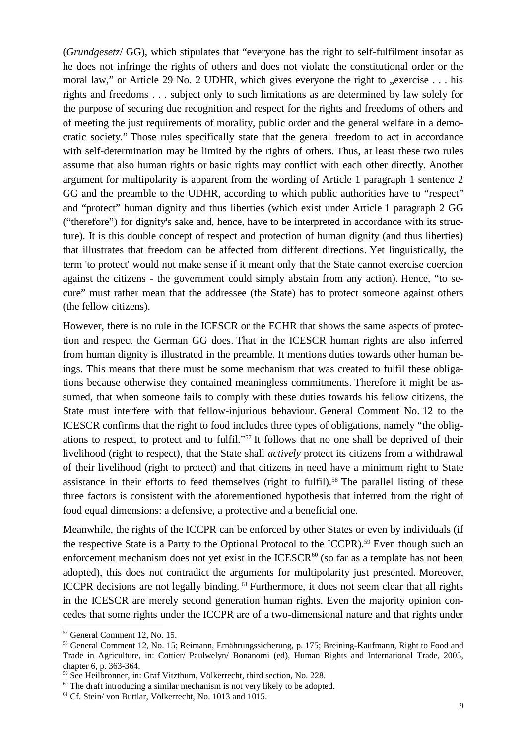(*Grundgesetz*/ GG), which stipulates that "everyone has the right to self-fulfilment insofar as he does not infringe the rights of others and does not violate the constitutional order or the moral law," or Article 29 No. 2 UDHR, which gives everyone the right to  $\alpha$ , exercise  $\dots$  his rights and freedoms . . . subject only to such limitations as are determined by law solely for the purpose of securing due recognition and respect for the rights and freedoms of others and of meeting the just requirements of morality, public order and the general welfare in a democratic society." Those rules specifically state that the general freedom to act in accordance with self-determination may be limited by the rights of others. Thus, at least these two rules assume that also human rights or basic rights may conflict with each other directly. Another argument for multipolarity is apparent from the wording of Article 1 paragraph 1 sentence 2 GG and the preamble to the UDHR, according to which public authorities have to "respect" and "protect" human dignity and thus liberties (which exist under Article 1 paragraph 2 GG ("therefore") for dignity's sake and, hence, have to be interpreted in accordance with its structure). It is this double concept of respect and protection of human dignity (and thus liberties) that illustrates that freedom can be affected from different directions. Yet linguistically, the term 'to protect' would not make sense if it meant only that the State cannot exercise coercion against the citizens - the government could simply abstain from any action). Hence, "to secure" must rather mean that the addressee (the State) has to protect someone against others (the fellow citizens).

However, there is no rule in the ICESCR or the ECHR that shows the same aspects of protection and respect the German GG does. That in the ICESCR human rights are also inferred from human dignity is illustrated in the preamble. It mentions duties towards other human beings. This means that there must be some mechanism that was created to fulfil these obligations because otherwise they contained meaningless commitments. Therefore it might be assumed, that when someone fails to comply with these duties towards his fellow citizens, the State must interfere with that fellow-injurious behaviour. General Comment No. 12 to the ICESCR confirms that the right to food includes three types of obligations, namely "the obligations to respect, to protect and to fulfil."<sup>57</sup> It follows that no one shall be deprived of their livelihood (right to respect), that the State shall *actively* protect its citizens from a withdrawal of their livelihood (right to protect) and that citizens in need have a minimum right to State assistance in their efforts to feed themselves (right to fulfil).<sup>58</sup> The parallel listing of these three factors is consistent with the aforementioned hypothesis that inferred from the right of food equal dimensions: a defensive, a protective and a beneficial one.

Meanwhile, the rights of the ICCPR can be enforced by other States or even by individuals (if the respective State is a Party to the Optional Protocol to the ICCPR).<sup>59</sup> Even though such an enforcement mechanism does not yet exist in the  $ICESCR^{60}$  (so far as a template has not been adopted), this does not contradict the arguments for multipolarity just presented. Moreover, ICCPR decisions are not legally binding. 61 Furthermore, it does not seem clear that all rights in the ICESCR are merely second generation human rights. Even the majority opinion concedes that some rights under the ICCPR are of a two-dimensional nature and that rights under

<sup>57</sup> General Comment 12, No. 15.

<sup>58</sup> General Comment 12, No. 15; Reimann, Ernährungssicherung, p. 175; Breining-Kaufmann, Right to Food and Trade in Agriculture, in: Cottier/ Paulwelyn/ Bonanomi (ed), Human Rights and International Trade, 2005, chapter 6, p. 363-364.

<sup>&</sup>lt;sup>59</sup> See Heilbronner, in: Graf Vitzthum, Völkerrecht, third section, No. 228.

<sup>&</sup>lt;sup>60</sup> The draft introducing a similar mechanism is not very likely to be adopted.

<sup>61</sup> Cf. Stein/ von Buttlar, Völkerrecht, No. 1013 and 1015.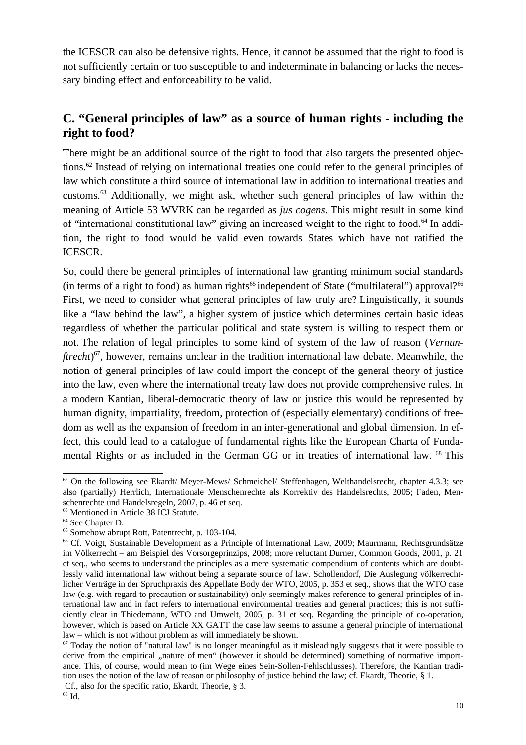the ICESCR can also be defensive rights. Hence, it cannot be assumed that the right to food is not sufficiently certain or too susceptible to and indeterminate in balancing or lacks the necessary binding effect and enforceability to be valid.

# **C. "General principles of law" as a source of human rights - including the right to food?**

There might be an additional source of the right to food that also targets the presented objections.<sup>62</sup> Instead of relying on international treaties one could refer to the general principles of law which constitute a third source of international law in addition to international treaties and customs.<sup>63</sup> Additionally, we might ask, whether such general principles of law within the meaning of Article 53 WVRK can be regarded as *jus cogens.* This might result in some kind of "international constitutional law" giving an increased weight to the right to food.<sup>64</sup> In addition, the right to food would be valid even towards States which have not ratified the ICESCR.

So, could there be general principles of international law granting minimum social standards (in terms of a right to food) as human rights<sup>65</sup> independent of State ("multilateral") approval?<sup>66</sup> First, we need to consider what general principles of law truly are? Linguistically, it sounds like a "law behind the law", a higher system of justice which determines certain basic ideas regardless of whether the particular political and state system is willing to respect them or not. The relation of legal principles to some kind of system of the law of reason (*Vernunftrecht*) <sup>67</sup>, however, remains unclear in the tradition international law debate. Meanwhile, the notion of general principles of law could import the concept of the general theory of justice into the law, even where the international treaty law does not provide comprehensive rules. In a modern Kantian, liberal-democratic theory of law or justice this would be represented by human dignity, impartiality, freedom, protection of (especially elementary) conditions of freedom as well as the expansion of freedom in an inter-generational and global dimension. In effect, this could lead to a catalogue of fundamental rights like the European Charta of Fundamental Rights or as included in the German GG or in treaties of international law.<sup>68</sup> This

 $62$  On the following see Ekardt/ Meyer-Mews/ Schmeichel/ Steffenhagen, Welthandelsrecht, chapter 4.3.3; see also (partially) Herrlich, Internationale Menschenrechte als Korrektiv des Handelsrechts, 2005; Faden, Menschenrechte und Handelsregeln, 2007, p. 46 et seq.

<sup>63</sup> Mentioned in Article 38 ICJ Statute.

<sup>64</sup> See Chapter D.

<sup>&</sup>lt;sup>65</sup> Somehow abrupt Rott, Patentrecht, p. 103-104.

<sup>&</sup>lt;sup>66</sup> Cf. Voigt, Sustainable Development as a Principle of International Law, 2009; Maurmann, Rechtsgrundsätze im Völkerrecht – am Beispiel des Vorsorgeprinzips, 2008; more reluctant Durner, Common Goods, 2001, p. 21 et seq., who seems to understand the principles as a mere systematic compendium of contents which are doubtlessly valid international law without being a separate source of law. Schollendorf, Die Auslegung völkerrechtlicher Verträge in der Spruchpraxis des Appellate Body der WTO, 2005, p. 353 et seq., shows that the WTO case law (e.g. with regard to precaution or sustainability) only seemingly makes reference to general principles of international law and in fact refers to international environmental treaties and general practices; this is not sufficiently clear in Thiedemann, WTO and Umwelt, 2005, p. 31 et seq. Regarding the principle of co-operation, however, which is based on Article XX GATT the case law seems to assume a general principle of international law – which is not without problem as will immediately be shown.

 $67$  Today the notion of "natural law" is no longer meaningful as it misleadingly suggests that it were possible to derive from the empirical "nature of men" (however it should be determined) something of normative importance. This, of course, would mean to (im Wege eines Sein-Sollen-Fehlschlusses). Therefore, the Kantian tradition uses the notion of the law of reason or philosophy of justice behind the law; cf. Ekardt, Theorie, § 1.

Cf., also for the specific ratio, Ekardt, Theorie, § 3. <sup>68</sup> Id.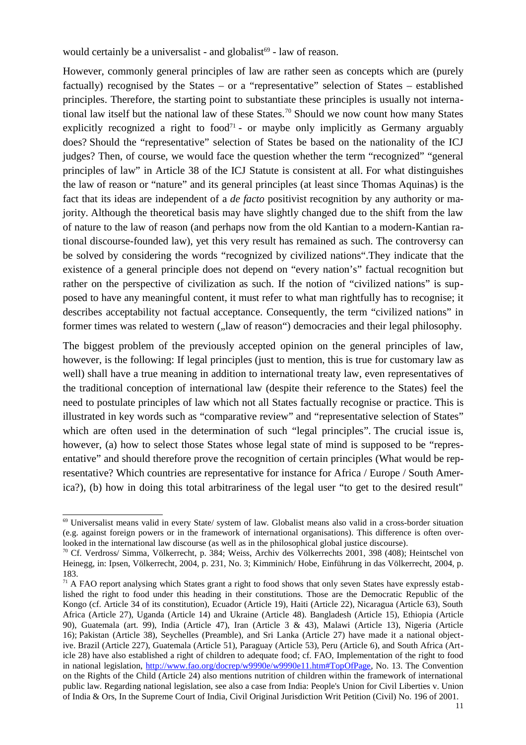would certainly be a universalist - and globalist<sup>69</sup> - law of reason.

However, commonly general principles of law are rather seen as concepts which are (purely factually) recognised by the States – or a "representative" selection of States – established principles. Therefore, the starting point to substantiate these principles is usually not international law itself but the national law of these States.<sup>70</sup> Should we now count how many States explicitly recognized a right to food<sup> $71$ </sup> - or maybe only implicitly as Germany arguably does? Should the "representative" selection of States be based on the nationality of the ICJ judges? Then, of course, we would face the question whether the term "recognized" "general principles of law" in Article 38 of the ICJ Statute is consistent at all. For what distinguishes the law of reason or "nature" and its general principles (at least since Thomas Aquinas) is the fact that its ideas are independent of a *de facto* positivist recognition by any authority or majority. Although the theoretical basis may have slightly changed due to the shift from the law of nature to the law of reason (and perhaps now from the old Kantian to a modern-Kantian rational discourse-founded law), yet this very result has remained as such. The controversy can be solved by considering the words "recognized by civilized nations".They indicate that the existence of a general principle does not depend on "every nation's" factual recognition but rather on the perspective of civilization as such. If the notion of "civilized nations" is supposed to have any meaningful content, it must refer to what man rightfully has to recognise; it describes acceptability not factual acceptance. Consequently, the term "civilized nations" in former times was related to western ("law of reason") democracies and their legal philosophy.

The biggest problem of the previously accepted opinion on the general principles of law, however, is the following: If legal principles (just to mention, this is true for customary law as well) shall have a true meaning in addition to international treaty law, even representatives of the traditional conception of international law (despite their reference to the States) feel the need to postulate principles of law which not all States factually recognise or practice. This is illustrated in key words such as "comparative review" and "representative selection of States" which are often used in the determination of such "legal principles". The crucial issue is, however, (a) how to select those States whose legal state of mind is supposed to be "representative" and should therefore prove the recognition of certain principles (What would be representative? Which countries are representative for instance for Africa / Europe / South America?), (b) how in doing this total arbitrariness of the legal user "to get to the desired result"

<sup>69</sup> Universalist means valid in every State/ system of law. Globalist means also valid in a cross-border situation (e.g. against foreign powers or in the framework of international organisations). This difference is often overlooked in the international law discourse (as well as in the philosophical global justice discourse).

 $70$  Cf. Verdross/ Simma, Völkerrecht, p. 384; Weiss, Archiv des Völkerrechts 2001, 398 (408); Heintschel von Heinegg, in: Ipsen, Völkerrecht, 2004, p. 231, No. 3; Kimminich/ Hobe, Einführung in das Völkerrecht, 2004, p. 183.

<sup>&</sup>lt;sup>71</sup> A FAO report analysing which States grant a right to food shows that only seven States have expressly established the right to food under this heading in their constitutions. Those are the Democratic Republic of the Kongo (cf. Article 34 of its constitution), Ecuador (Article 19), Haiti (Article 22), Nicaragua (Article 63), South Africa (Article 27), Uganda (Article 14) and Ukraine (Article 48). Bangladesh (Article 15), Ethiopia (Article 90), Guatemala (art. 99), India (Article 47), Iran (Article 3 & 43), Malawi (Article 13), Nigeria (Article 16); Pakistan (Article 38), Seychelles (Preamble), and Sri Lanka (Article 27) have made it a national objective. Brazil (Article 227), Guatemala (Article 51), Paraguay (Article 53), Peru (Article 6), and South Africa (Article 28) have also established a right of children to adequate food; cf. FAO, Implementation of the right to food in national legislation, http://www.fao.org/docrep/w9990e/w9990e11.htm#TopOfPage, No. 13. The Convention on the Rights of the Child (Article 24) also mentions nutrition of children within the framework of international public law. Regarding national legislation, see also a case from India: People's Union for Civil Liberties v. Union of India & Ors, In the Supreme Court of India, Civil Original Jurisdiction Writ Petition (Civil) No. 196 of 2001.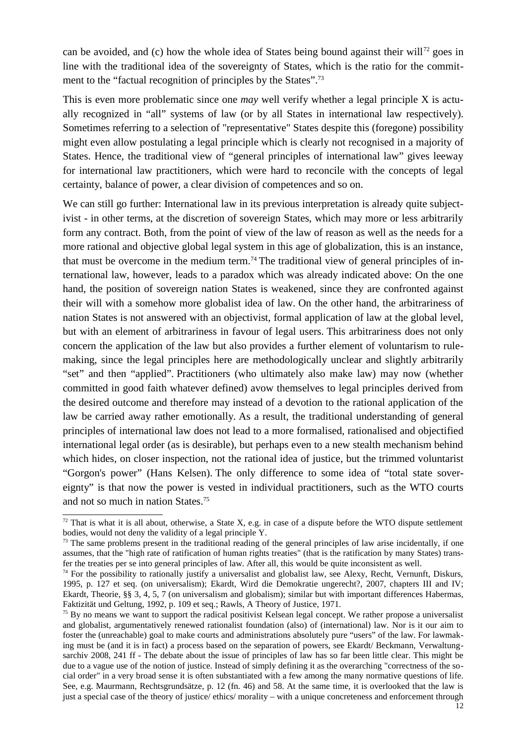can be avoided, and (c) how the whole idea of States being bound against their will<sup>72</sup> goes in line with the traditional idea of the sovereignty of States, which is the ratio for the commitment to the "factual recognition of principles by the States".<sup>73</sup>

This is even more problematic since one *may* well verify whether a legal principle X is actually recognized in "all" systems of law (or by all States in international law respectively). Sometimes referring to a selection of "representative" States despite this (foregone) possibility might even allow postulating a legal principle which is clearly not recognised in a majority of States. Hence, the traditional view of "general principles of international law" gives leeway for international law practitioners, which were hard to reconcile with the concepts of legal certainty, balance of power, a clear division of competences and so on.

We can still go further: International law in its previous interpretation is already quite subjectivist - in other terms, at the discretion of sovereign States, which may more or less arbitrarily form any contract. Both, from the point of view of the law of reason as well as the needs for a more rational and objective global legal system in this age of globalization, this is an instance, that must be overcome in the medium term.<sup>74</sup> The traditional view of general principles of international law, however, leads to a paradox which was already indicated above: On the one hand, the position of sovereign nation States is weakened, since they are confronted against their will with a somehow more globalist idea of law. On the other hand, the arbitrariness of nation States is not answered with an objectivist, formal application of law at the global level, but with an element of arbitrariness in favour of legal users. This arbitrariness does not only concern the application of the law but also provides a further element of voluntarism to rulemaking, since the legal principles here are methodologically unclear and slightly arbitrarily "set" and then "applied". Practitioners (who ultimately also make law) may now (whether committed in good faith whatever defined) avow themselves to legal principles derived from the desired outcome and therefore may instead of a devotion to the rational application of the law be carried away rather emotionally. As a result, the traditional understanding of general principles of international law does not lead to a more formalised, rationalised and objectified international legal order (as is desirable), but perhaps even to a new stealth mechanism behind which hides, on closer inspection, not the rational idea of justice, but the trimmed voluntarist "Gorgon's power" (Hans Kelsen). The only difference to some idea of "total state sovereignty" is that now the power is vested in individual practitioners, such as the WTO courts and not so much in nation States.<sup>75</sup>

 $72$  That is what it is all about, otherwise, a State X, e.g. in case of a dispute before the WTO dispute settlement bodies, would not deny the validity of a legal principle Y.

 $73$  The same problems present in the traditional reading of the general principles of law arise incidentally, if one assumes, that the "high rate of ratification of human rights treaties" (that is the ratification by many States) transfer the treaties per se into general principles of law. After all, this would be quite inconsistent as well.

 $74$  For the possibility to rationally justify a universalist and globalist law, see Alexy, Recht, Vernunft, Diskurs, 1995, p. 127 et seq. (on universalism); Ekardt, Wird die Demokratie ungerecht?, 2007, chapters III and IV; Ekardt, Theorie, §§ 3, 4, 5, 7 (on universalism and globalism); similar but with important differences Habermas, Faktizität und Geltung, 1992, p. 109 et seq.; Rawls, A Theory of Justice, 1971.

<sup>&</sup>lt;sup>75</sup> By no means we want to support the radical positivist Kelsean legal concept. We rather propose a universalist and globalist, argumentatively renewed rationalist foundation (also) of (international) law. Nor is it our aim to foster the (unreachable) goal to make courts and administrations absolutely pure "users" of the law. For lawmaking must be (and it is in fact) a process based on the separation of powers, see Ekardt/ Beckmann, Verwaltungsarchiv 2008, 241 ff - The debate about the issue of principles of law has so far been little clear. This might be due to a vague use of the notion of justice. Instead of simply defining it as the overarching "correctness of the social order" in a very broad sense it is often substantiated with a few among the many normative questions of life. See, e.g. Maurmann, Rechtsgrundsätze, p. 12 (fn. 46) and 58. At the same time, it is overlooked that the law is just a special case of the theory of justice/ ethics/ morality – with a unique concreteness and enforcement through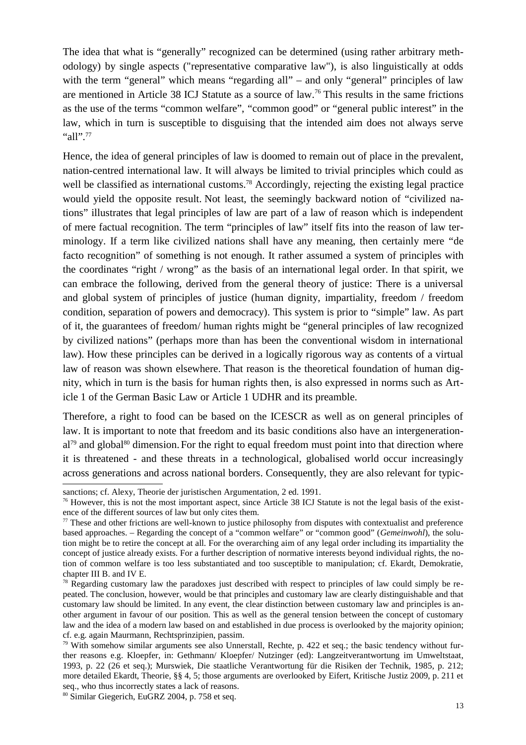The idea that what is "generally" recognized can be determined (using rather arbitrary methodology) by single aspects ("representative comparative law"), is also linguistically at odds with the term "general" which means "regarding all" – and only "general" principles of law are mentioned in Article 38 ICJ Statute as a source of law.<sup>76</sup> This results in the same frictions as the use of the terms "common welfare", "common good" or "general public interest" in the law, which in turn is susceptible to disguising that the intended aim does not always serve "all".<sup>77</sup>

Hence, the idea of general principles of law is doomed to remain out of place in the prevalent, nation-centred international law. It will always be limited to trivial principles which could as well be classified as international customs.<sup>78</sup> Accordingly, rejecting the existing legal practice would yield the opposite result. Not least, the seemingly backward notion of "civilized nations" illustrates that legal principles of law are part of a law of reason which is independent of mere factual recognition. The term "principles of law" itself fits into the reason of law terminology. If a term like civilized nations shall have any meaning, then certainly mere "de facto recognition" of something is not enough. It rather assumed a system of principles with the coordinates "right / wrong" as the basis of an international legal order. In that spirit, we can embrace the following, derived from the general theory of justice: There is a universal and global system of principles of justice (human dignity, impartiality, freedom / freedom condition, separation of powers and democracy). This system is prior to "simple" law. As part of it, the guarantees of freedom/ human rights might be "general principles of law recognized by civilized nations" (perhaps more than has been the conventional wisdom in international law). How these principles can be derived in a logically rigorous way as contents of a virtual law of reason was shown elsewhere. That reason is the theoretical foundation of human dignity, which in turn is the basis for human rights then, is also expressed in norms such as Article 1 of the German Basic Law or Article 1 UDHR and its preamble.

Therefore, a right to food can be based on the ICESCR as well as on general principles of law. It is important to note that freedom and its basic conditions also have an intergeneration $al^{79}$  and global<sup>80</sup> dimension. For the right to equal freedom must point into that direction where it is threatened - and these threats in a technological, globalised world occur increasingly across generations and across national borders. Consequently, they are also relevant for typic-

sanctions; cf. Alexy, Theorie der juristischen Argumentation, 2 ed. 1991.

<sup>&</sup>lt;sup>76</sup> However, this is not the most important aspect, since Article 38 ICJ Statute is not the legal basis of the existence of the different sources of law but only cites them.

<sup>&</sup>lt;sup>77</sup> These and other frictions are well-known to justice philosophy from disputes with contextualist and preference based approaches. – Regarding the concept of a "common welfare" or "common good" (*Gemeinwohl*), the solution might be to retire the concept at all. For the overarching aim of any legal order including its impartiality the concept of justice already exists. For a further description of normative interests beyond individual rights, the notion of common welfare is too less substantiated and too susceptible to manipulation; cf. Ekardt, Demokratie, chapter III B. and IV E.

<sup>&</sup>lt;sup>78</sup> Regarding customary law the paradoxes just described with respect to principles of law could simply be repeated. The conclusion, however, would be that principles and customary law are clearly distinguishable and that customary law should be limited. In any event, the clear distinction between customary law and principles is another argument in favour of our position. This as well as the general tension between the concept of customary law and the idea of a modern law based on and established in due process is overlooked by the majority opinion; cf. e.g. again Maurmann, Rechtsprinzipien, passim.

 $79$  With somehow similar arguments see also Unnerstall, Rechte, p. 422 et seq.; the basic tendency without further reasons e.g. Kloepfer, in: Gethmann/ Kloepfer/ Nutzinger (ed): Langzeitverantwortung im Umweltstaat, 1993, p. 22 (26 et seq.); Murswiek, Die staatliche Verantwortung für die Risiken der Technik, 1985, p. 212; more detailed Ekardt, Theorie, §§ 4, 5; those arguments are overlooked by Eifert, Kritische Justiz 2009, p. 211 et seq., who thus incorrectly states a lack of reasons.

<sup>80</sup> Similar Giegerich, EuGRZ 2004, p. 758 et seq.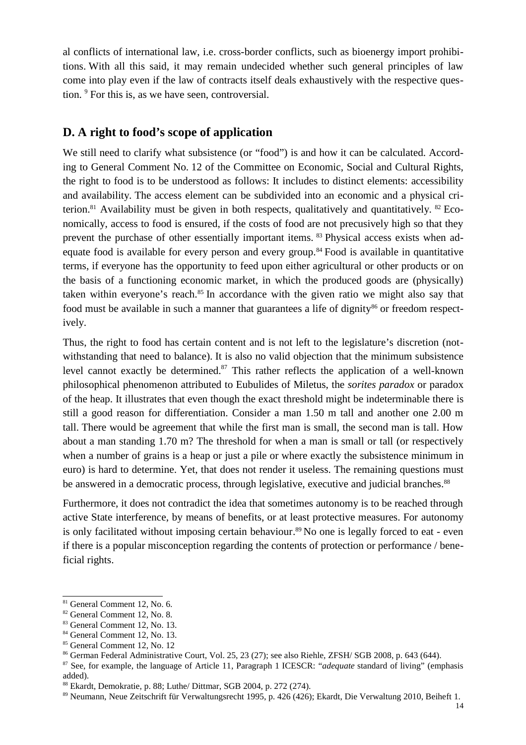al conflicts of international law, i.e. cross-border conflicts, such as bioenergy import prohibitions. With all this said, it may remain undecided whether such general principles of law come into play even if the law of contracts itself deals exhaustively with the respective question. <sup>9</sup> For this is, as we have seen, controversial.

#### **D. A right to food's scope of application**

We still need to clarify what subsistence (or "food") is and how it can be calculated. According to General Comment No. 12 of the Committee on Economic, Social and Cultural Rights, the right to food is to be understood as follows: It includes to distinct elements: accessibility and availability. The access element can be subdivided into an economic and a physical criterion.<sup>81</sup> Availability must be given in both respects, qualitatively and quantitatively. <sup>82</sup> Economically, access to food is ensured, if the costs of food are not precusively high so that they prevent the purchase of other essentially important items. <sup>83</sup> Physical access exists when adequate food is available for every person and every group.<sup>84</sup> Food is available in quantitative terms, if everyone has the opportunity to feed upon either agricultural or other products or on the basis of a functioning economic market, in which the produced goods are (physically) taken within everyone's reach.<sup>85</sup> In accordance with the given ratio we might also say that food must be available in such a manner that guarantees a life of dignity<sup>86</sup> or freedom respectively.

Thus, the right to food has certain content and is not left to the legislature's discretion (notwithstanding that need to balance). It is also no valid objection that the minimum subsistence level cannot exactly be determined. $87$  This rather reflects the application of a well-known philosophical phenomenon attributed to Eubulides of Miletus, the *sorites paradox* or paradox of the heap. It illustrates that even though the exact threshold might be indeterminable there is still a good reason for differentiation. Consider a man 1.50 m tall and another one 2.00 m tall. There would be agreement that while the first man is small, the second man is tall. How about a man standing 1.70 m? The threshold for when a man is small or tall (or respectively when a number of grains is a heap or just a pile or where exactly the subsistence minimum in euro) is hard to determine. Yet, that does not render it useless. The remaining questions must be answered in a democratic process, through legislative, executive and judicial branches.<sup>88</sup>

Furthermore, it does not contradict the idea that sometimes autonomy is to be reached through active State interference, by means of benefits, or at least protective measures. For autonomy is only facilitated without imposing certain behaviour.<sup>89</sup> No one is legally forced to eat - even if there is a popular misconception regarding the contents of protection or performance / beneficial rights.

<sup>81</sup> General Comment 12, No. 6.

<sup>82</sup> General Comment 12, No. 8.

<sup>83</sup> General Comment 12, No. 13.

<sup>84</sup> General Comment 12, No. 13.

<sup>85</sup> General Comment 12, No. 12

<sup>86</sup> German Federal Administrative Court, Vol. 25, 23 (27); see also Riehle, ZFSH/ SGB 2008, p. 643 (644).

<sup>87</sup> See, for example, the language of Article 11, Paragraph 1 ICESCR: "*adequate* standard of living" (emphasis added).

<sup>88</sup> Ekardt, Demokratie, p. 88; Luthe/ Dittmar, SGB 2004, p. 272 (274).

<sup>89</sup> Neumann, Neue Zeitschrift für Verwaltungsrecht 1995, p. 426 (426); Ekardt, Die Verwaltung 2010, Beiheft 1.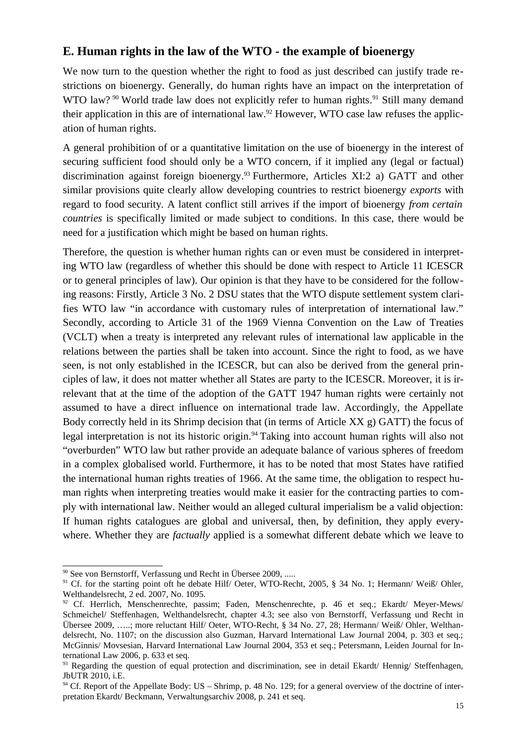# **E. Human rights in the law of the WTO - the example of bioenergy**

We now turn to the question whether the right to food as just described can justify trade restrictions on bioenergy. Generally, do human rights have an impact on the interpretation of WTO law?<sup>90</sup> World trade law does not explicitly refer to human rights.<sup>91</sup> Still many demand their application in this are of international law.<sup>92</sup> However, WTO case law refuses the application of human rights.

A general prohibition of or a quantitative limitation on the use of bioenergy in the interest of securing sufficient food should only be a WTO concern, if it implied any (legal or factual) discrimination against foreign bioenergy.<sup>93</sup> Furthermore, Articles XI:2 a) GATT and other similar provisions quite clearly allow developing countries to restrict bioenergy *exports* with regard to food security. A latent conflict still arrives if the import of bioenergy *from certain countries* is specifically limited or made subject to conditions. In this case, there would be need for a justification which might be based on human rights.

Therefore, the question is whether human rights can or even must be considered in interpreting WTO law (regardless of whether this should be done with respect to Article 11 ICESCR or to general principles of law). Our opinion is that they have to be considered for the following reasons: Firstly, Article 3 No. 2 DSU states that the WTO dispute settlement system clarifies WTO law "in accordance with customary rules of interpretation of international law." Secondly, according to Article 31 of the 1969 Vienna Convention on the Law of Treaties (VCLT) when a treaty is interpreted any relevant rules of international law applicable in the relations between the parties shall be taken into account. Since the right to food, as we have seen, is not only established in the ICESCR, but can also be derived from the general principles of law, it does not matter whether all States are party to the ICESCR. Moreover, it is irrelevant that at the time of the adoption of the GATT 1947 human rights were certainly not assumed to have a direct influence on international trade law. Accordingly, the Appellate Body correctly held in its Shrimp decision that (in terms of Article XX g) GATT) the focus of legal interpretation is not its historic origin.<sup>94</sup> Taking into account human rights will also not "overburden" WTO law but rather provide an adequate balance of various spheres of freedom in a complex globalised world. Furthermore, it has to be noted that most States have ratified the international human rights treaties of 1966. At the same time, the obligation to respect human rights when interpreting treaties would make it easier for the contracting parties to comply with international law. Neither would an alleged cultural imperialism be a valid objection: If human rights catalogues are global and universal, then, by definition, they apply everywhere. Whether they are *factually* applied is a somewhat different debate which we leave to

<sup>90</sup> See von Bernstorff, Verfassung und Recht in Übersee 2009, .....

<sup>&</sup>lt;sup>91</sup> Cf. for the starting point oft he debate Hilf/ Oeter, WTO-Recht, 2005, § 34 No. 1; Hermann/ Weiß/ Ohler, Welthandelsrecht, 2 ed. 2007, No. 1095.

 $92$  Cf. Herrlich, Menschenrechte, passim; Faden, Menschenrechte, p. 46 et seq.; Ekardt/ Meyer-Mews/ Schmeichel/ Steffenhagen, Welthandelsrecht, chapter 4.3; see also von Bernstorff, Verfassung und Recht in Übersee 2009, …..; more reluctant Hilf/ Oeter, WTO-Recht, § 34 No. 27, 28; Hermann/ Weiß/ Ohler, Welthandelsrecht, No. 1107; on the discussion also Guzman, Harvard International Law Journal 2004, p. 303 et seq.; McGinnis/ Movsesian, Harvard International Law Journal 2004, 353 et seq.; Petersmann, Leiden Journal for International Law 2006, p. 633 et seq.

<sup>&</sup>lt;sup>93</sup> Regarding the question of equal protection and discrimination, see in detail Ekardt/ Hennig/ Steffenhagen, JbUTR 2010, i.E.

<sup>&</sup>lt;sup>94</sup> Cf. Report of the Appellate Body: US – Shrimp, p. 48 No. 129; for a general overview of the doctrine of interpretation Ekardt/ Beckmann, Verwaltungsarchiv 2008, p. 241 et seq.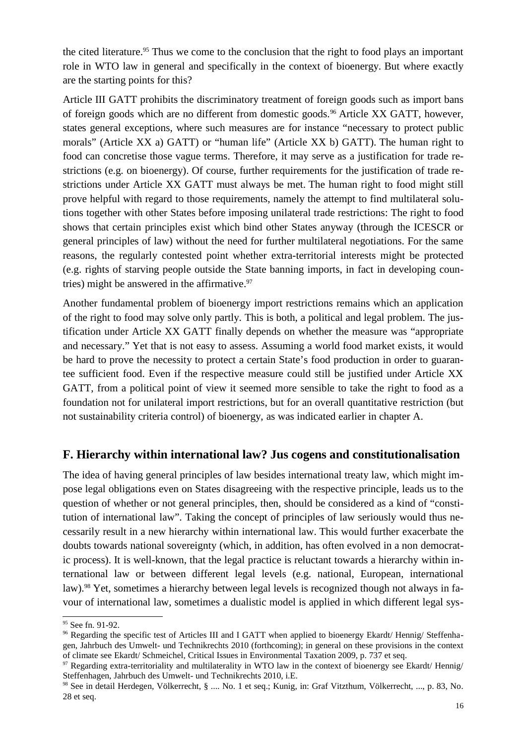the cited literature.<sup>95</sup> Thus we come to the conclusion that the right to food plays an important role in WTO law in general and specifically in the context of bioenergy. But where exactly are the starting points for this?

Article III GATT prohibits the discriminatory treatment of foreign goods such as import bans of foreign goods which are no different from domestic goods.<sup>96</sup> Article XX GATT, however, states general exceptions, where such measures are for instance "necessary to protect public morals" (Article XX a) GATT) or "human life" (Article XX b) GATT). The human right to food can concretise those vague terms. Therefore, it may serve as a justification for trade restrictions (e.g. on bioenergy). Of course, further requirements for the justification of trade restrictions under Article XX GATT must always be met. The human right to food might still prove helpful with regard to those requirements, namely the attempt to find multilateral solutions together with other States before imposing unilateral trade restrictions: The right to food shows that certain principles exist which bind other States anyway (through the ICESCR or general principles of law) without the need for further multilateral negotiations. For the same reasons, the regularly contested point whether extra-territorial interests might be protected (e.g. rights of starving people outside the State banning imports, in fact in developing countries) might be answered in the affirmative. $97$ 

Another fundamental problem of bioenergy import restrictions remains which an application of the right to food may solve only partly. This is both, a political and legal problem. The justification under Article XX GATT finally depends on whether the measure was "appropriate and necessary." Yet that is not easy to assess. Assuming a world food market exists, it would be hard to prove the necessity to protect a certain State's food production in order to guarantee sufficient food. Even if the respective measure could still be justified under Article XX GATT, from a political point of view it seemed more sensible to take the right to food as a foundation not for unilateral import restrictions, but for an overall quantitative restriction (but not sustainability criteria control) of bioenergy, as was indicated earlier in chapter A.

# **F. Hierarchy within international law? Jus cogens and constitutionalisation**

The idea of having general principles of law besides international treaty law, which might impose legal obligations even on States disagreeing with the respective principle, leads us to the question of whether or not general principles, then, should be considered as a kind of "constitution of international law". Taking the concept of principles of law seriously would thus necessarily result in a new hierarchy within international law. This would further exacerbate the doubts towards national sovereignty (which, in addition, has often evolved in a non democratic process). It is well-known, that the legal practice is reluctant towards a hierarchy within international law or between different legal levels (e.g. national, European, international law).<sup>98</sup> Yet, sometimes a hierarchy between legal levels is recognized though not always in favour of international law, sometimes a dualistic model is applied in which different legal sys-

<sup>95</sup> See fn. 91-92.

<sup>&</sup>lt;sup>96</sup> Regarding the specific test of Articles III and I GATT when applied to bioenergy Ekardt/ Hennig/ Steffenhagen, Jahrbuch des Umwelt- und Technikrechts 2010 (forthcoming); in general on these provisions in the context of climate see Ekardt/ Schmeichel, Critical Issues in Environmental Taxation 2009, p. 737 et seq.

<sup>97</sup> Regarding extra-territoriality and multilaterality in WTO law in the context of bioenergy see Ekardt/ Hennig/ Steffenhagen, Jahrbuch des Umwelt- und Technikrechts 2010, i.E.

<sup>98</sup> See in detail Herdegen, Völkerrecht, § .... No. 1 et seq.; Kunig, in: Graf Vitzthum, Völkerrecht, ..., p. 83, No. 28 et seq.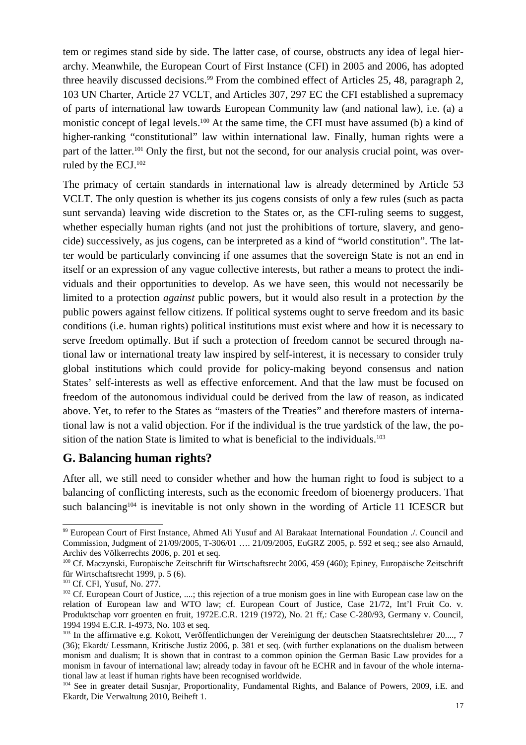tem or regimes stand side by side. The latter case, of course, obstructs any idea of legal hierarchy. Meanwhile, the European Court of First Instance (CFI) in 2005 and 2006, has adopted three heavily discussed decisions.<sup>99</sup> From the combined effect of Articles 25, 48, paragraph 2, 103 UN Charter, Article 27 VCLT, and Articles 307, 297 EC the CFI established a supremacy of parts of international law towards European Community law (and national law), i.e. (a) a monistic concept of legal levels.<sup>100</sup> At the same time, the CFI must have assumed (b) a kind of higher-ranking "constitutional" law within international law. Finally, human rights were a part of the latter.<sup>101</sup> Only the first, but not the second, for our analysis crucial point, was overruled by the ECJ.<sup>102</sup>

The primacy of certain standards in international law is already determined by Article 53 VCLT. The only question is whether its jus cogens consists of only a few rules (such as pacta sunt servanda) leaving wide discretion to the States or, as the CFI-ruling seems to suggest, whether especially human rights (and not just the prohibitions of torture, slavery, and genocide) successively, as jus cogens, can be interpreted as a kind of "world constitution". The latter would be particularly convincing if one assumes that the sovereign State is not an end in itself or an expression of any vague collective interests, but rather a means to protect the individuals and their opportunities to develop. As we have seen, this would not necessarily be limited to a protection *against* public powers, but it would also result in a protection *by* the public powers against fellow citizens. If political systems ought to serve freedom and its basic conditions (i.e. human rights) political institutions must exist where and how it is necessary to serve freedom optimally. But if such a protection of freedom cannot be secured through national law or international treaty law inspired by self-interest, it is necessary to consider truly global institutions which could provide for policy-making beyond consensus and nation States' self-interests as well as effective enforcement. And that the law must be focused on freedom of the autonomous individual could be derived from the law of reason, as indicated above. Yet, to refer to the States as "masters of the Treaties" and therefore masters of international law is not a valid objection. For if the individual is the true yardstick of the law, the position of the nation State is limited to what is beneficial to the individuals.<sup>103</sup>

## **G. Balancing human rights?**

After all, we still need to consider whether and how the human right to food is subject to a balancing of conflicting interests, such as the economic freedom of bioenergy producers. That such balancing<sup>104</sup> is inevitable is not only shown in the wording of Article 11 ICESCR but

<sup>104</sup> See in greater detail Susnjar, Proportionality, Fundamental Rights, and Balance of Powers, 2009, i.E. and Ekardt, Die Verwaltung 2010, Beiheft 1.

<sup>99</sup> European Court of First Instance, Ahmed Ali Yusuf and Al Barakaat International Foundation ./. Council and Commission, Judgment of 21/09/2005, T-306/01 …. 21/09/2005, EuGRZ 2005, p. 592 et seq.; see also Arnauld, Archiv des Völkerrechts 2006, p. 201 et seq.

<sup>&</sup>lt;sup>100</sup> Cf. Maczynski, Europäische Zeitschrift für Wirtschaftsrecht 2006, 459 (460); Epiney, Europäische Zeitschrift für Wirtschaftsrecht 1999, p. 5 (6).

<sup>101</sup> Cf. CFI, Yusuf, No. 277.

<sup>&</sup>lt;sup>102</sup> Cf. European Court of Justice, ....; this rejection of a true monism goes in line with European case law on the relation of European law and WTO law; cf. European Court of Justice, Case 21/72, Int'l Fruit Co. v. Produktschap vorr groenten en fruit, 1972E.C.R. 1219 (1972), No. 21 ff,: Case C-280/93, Germany v. Council, 1994 1994 E.C.R. I-4973, No. 103 et seq.

<sup>&</sup>lt;sup>103</sup> In the affirmative e.g. Kokott, Veröffentlichungen der Vereinigung der deutschen Staatsrechtslehrer 20...., 7 (36); Ekardt/ Lessmann, Kritische Justiz 2006, p. 381 et seq. (with further explanations on the dualism between monism and dualism; It is shown that in contrast to a common opinion the German Basic Law provides for a monism in favour of international law; already today in favour oft he ECHR and in favour of the whole international law at least if human rights have been recognised worldwide.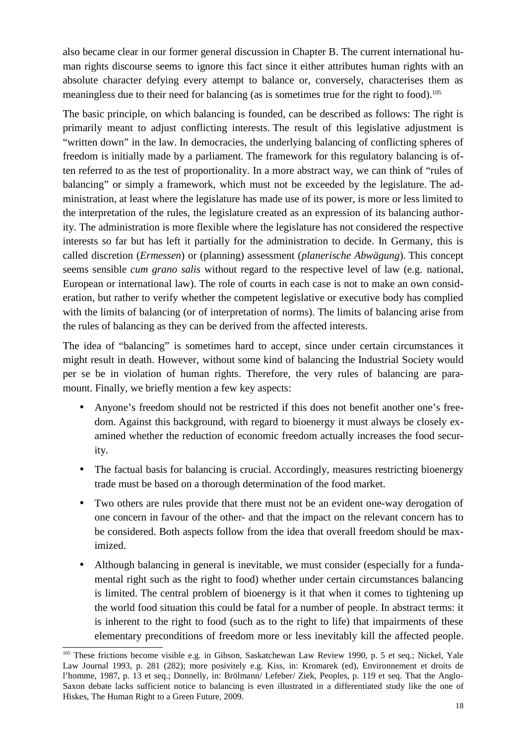also became clear in our former general discussion in Chapter B. The current international human rights discourse seems to ignore this fact since it either attributes human rights with an absolute character defying every attempt to balance or, conversely, characterises them as meaningless due to their need for balancing (as is sometimes true for the right to food).<sup>105</sup>

The basic principle, on which balancing is founded, can be described as follows: The right is primarily meant to adjust conflicting interests. The result of this legislative adjustment is "written down" in the law. In democracies, the underlying balancing of conflicting spheres of freedom is initially made by a parliament. The framework for this regulatory balancing is often referred to as the test of proportionality. In a more abstract way, we can think of "rules of balancing" or simply a framework, which must not be exceeded by the legislature. The administration, at least where the legislature has made use of its power, is more or less limited to the interpretation of the rules, the legislature created as an expression of its balancing authority. The administration is more flexible where the legislature has not considered the respective interests so far but has left it partially for the administration to decide. In Germany, this is called discretion (*Ermessen*) or (planning) assessment (*planerische Abwägung*). This concept seems sensible *cum grano salis* without regard to the respective level of law (e.g. national, European or international law). The role of courts in each case is not to make an own consideration, but rather to verify whether the competent legislative or executive body has complied with the limits of balancing (or of interpretation of norms). The limits of balancing arise from the rules of balancing as they can be derived from the affected interests.

The idea of "balancing" is sometimes hard to accept, since under certain circumstances it might result in death. However, without some kind of balancing the Industrial Society would per se be in violation of human rights. Therefore, the very rules of balancing are paramount. Finally, we briefly mention a few key aspects:

- Anyone's freedom should not be restricted if this does not benefit another one's freedom. Against this background, with regard to bioenergy it must always be closely examined whether the reduction of economic freedom actually increases the food security.
- The factual basis for balancing is crucial. Accordingly, measures restricting bioenergy trade must be based on a thorough determination of the food market.
- Two others are rules provide that there must not be an evident one-way derogation of one concern in favour of the other- and that the impact on the relevant concern has to be considered. Both aspects follow from the idea that overall freedom should be maximized.
- Although balancing in general is inevitable, we must consider (especially for a fundamental right such as the right to food) whether under certain circumstances balancing is limited. The central problem of bioenergy is it that when it comes to tightening up the world food situation this could be fatal for a number of people. In abstract terms: it is inherent to the right to food (such as to the right to life) that impairments of these elementary preconditions of freedom more or less inevitably kill the affected people.

<sup>105</sup> These frictions become visible e.g. in Gibson, Saskatchewan Law Review 1990, p. 5 et seq.; Nickel, Yale Law Journal 1993, p. 281 (282); more posivitely e.g. Kiss, in: Kromarek (ed), Environnement et droits de l'homme, 1987, p. 13 et seq.; Donnelly, in: Brölmann/ Lefeber/ Ziek, Peoples, p. 119 et seq. That the Anglo-Saxon debate lacks sufficient notice to balancing is even illustrated in a differentiated study like the one of Hiskes, The Human Right to a Green Future, 2009.